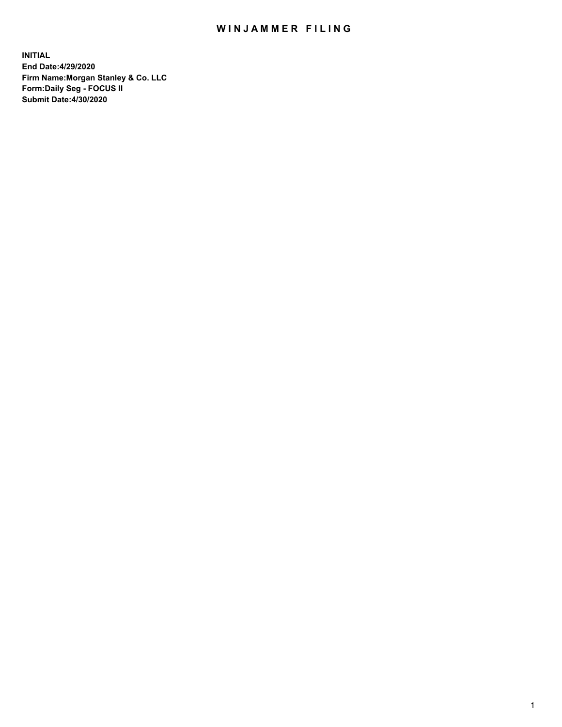## WIN JAMMER FILING

**INITIAL End Date:4/29/2020 Firm Name:Morgan Stanley & Co. LLC Form:Daily Seg - FOCUS II Submit Date:4/30/2020**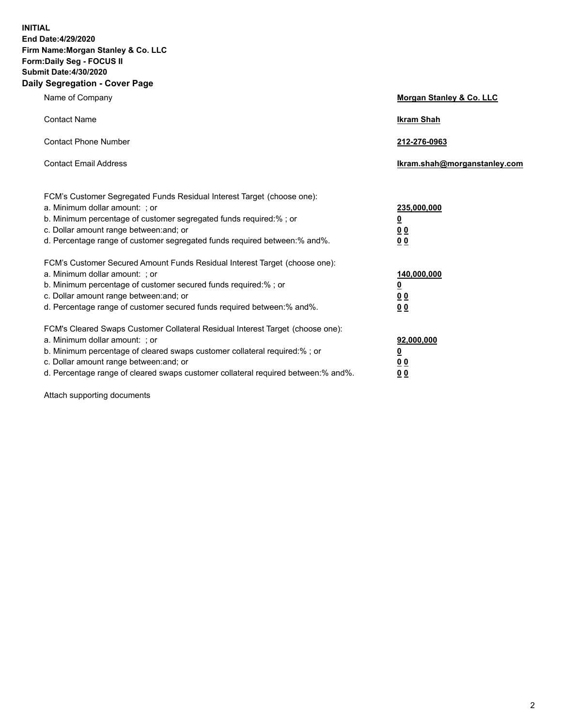**INITIAL End Date:4/29/2020 Firm Name:Morgan Stanley & Co. LLC Form:Daily Seg - FOCUS II Submit Date:4/30/2020 Daily Segregation - Cover Page**

| Name of Company                                                                                                                                                                                                                                                                                                                | Morgan Stanley & Co. LLC                                |
|--------------------------------------------------------------------------------------------------------------------------------------------------------------------------------------------------------------------------------------------------------------------------------------------------------------------------------|---------------------------------------------------------|
| <b>Contact Name</b>                                                                                                                                                                                                                                                                                                            | <b>Ikram Shah</b>                                       |
| <b>Contact Phone Number</b>                                                                                                                                                                                                                                                                                                    | 212-276-0963                                            |
| <b>Contact Email Address</b>                                                                                                                                                                                                                                                                                                   | Ikram.shah@morganstanley.com                            |
| FCM's Customer Segregated Funds Residual Interest Target (choose one):<br>a. Minimum dollar amount: ; or<br>b. Minimum percentage of customer segregated funds required:% ; or<br>c. Dollar amount range between: and; or<br>d. Percentage range of customer segregated funds required between:% and%.                         | 235,000,000<br><u>0</u><br><u>00</u><br><u>00</u>       |
| FCM's Customer Secured Amount Funds Residual Interest Target (choose one):<br>a. Minimum dollar amount: ; or<br>b. Minimum percentage of customer secured funds required:%; or<br>c. Dollar amount range between: and; or<br>d. Percentage range of customer secured funds required between:% and%.                            | 140,000,000<br><u>0</u><br><u>0 0</u><br>0 <sub>0</sub> |
| FCM's Cleared Swaps Customer Collateral Residual Interest Target (choose one):<br>a. Minimum dollar amount: ; or<br>b. Minimum percentage of cleared swaps customer collateral required:% ; or<br>c. Dollar amount range between: and; or<br>d. Percentage range of cleared swaps customer collateral required between:% and%. | 92,000,000<br><u>0</u><br><u>00</u><br>00               |

Attach supporting documents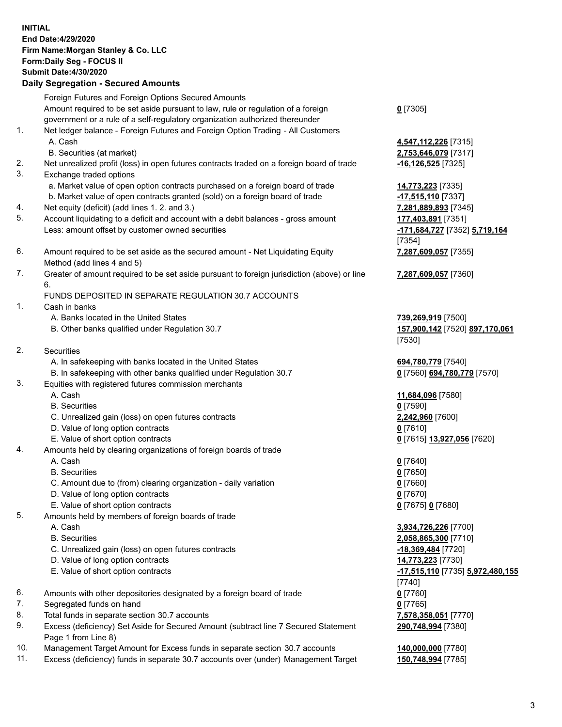## **INITIAL End Date:4/29/2020 Firm Name:Morgan Stanley & Co. LLC Form:Daily Seg - FOCUS II Submit Date:4/30/2020 Daily Segregation - Secured Amounts** Foreign Futures and Foreign Options Secured Amounts Amount required to be set aside pursuant to law, rule or regulation of a foreign government or a rule of a self-regulatory organization authorized thereunder **0** [7305] 1. Net ledger balance - Foreign Futures and Foreign Option Trading - All Customers A. Cash **4,547,112,226** [7315] B. Securities (at market) **2,753,646,079** [7317] 2. Net unrealized profit (loss) in open futures contracts traded on a foreign board of trade **-16,126,525** [7325] 3. Exchange traded options a. Market value of open option contracts purchased on a foreign board of trade **14,773,223** [7335] b. Market value of open contracts granted (sold) on a foreign board of trade **-17,515,110** [7337] 4. Net equity (deficit) (add lines 1. 2. and 3.) **7,281,889,893** [7345] 5. Account liquidating to a deficit and account with a debit balances - gross amount **177,403,891** [7351] Less: amount offset by customer owned securities **-171,684,727** [7352] **5,719,164** [7354] 6. Amount required to be set aside as the secured amount - Net Liquidating Equity Method (add lines 4 and 5) **7,287,609,057** [7355] 7. Greater of amount required to be set aside pursuant to foreign jurisdiction (above) or line 6. **7,287,609,057** [7360] FUNDS DEPOSITED IN SEPARATE REGULATION 30.7 ACCOUNTS 1. Cash in banks A. Banks located in the United States **739,269,919** [7500] B. Other banks qualified under Regulation 30.7 **157,900,142** [7520] **897,170,061** [7530] 2. Securities A. In safekeeping with banks located in the United States **694,780,779** [7540] B. In safekeeping with other banks qualified under Regulation 30.7 **0** [7560] **694,780,779** [7570] 3. Equities with registered futures commission merchants A. Cash **11,684,096** [7580] B. Securities **0** [7590] C. Unrealized gain (loss) on open futures contracts **2,242,960** [7600] D. Value of long option contracts **0** [7610] E. Value of short option contracts **0** [7615] **13,927,056** [7620] 4. Amounts held by clearing organizations of foreign boards of trade A. Cash **0** [7640] B. Securities **0** [7650] C. Amount due to (from) clearing organization - daily variation **0** [7660] D. Value of long option contracts **0** [7670] E. Value of short option contracts **0** [7675] **0** [7680] 5. Amounts held by members of foreign boards of trade A. Cash **3,934,726,226** [7700] B. Securities **2,058,865,300** [7710] C. Unrealized gain (loss) on open futures contracts **-18,369,484** [7720] D. Value of long option contracts **14,773,223** [7730] E. Value of short option contracts **-17,515,110** [7735] **5,972,480,155** [7740] 6. Amounts with other depositories designated by a foreign board of trade **0** [7760] 7. Segregated funds on hand **0** [7765] 8. Total funds in separate section 30.7 accounts **7,578,358,051** [7770] 9. Excess (deficiency) Set Aside for Secured Amount (subtract line 7 Secured Statement Page 1 from Line 8) **290,748,994** [7380] 10. Management Target Amount for Excess funds in separate section 30.7 accounts **140,000,000** [7780]

11. Excess (deficiency) funds in separate 30.7 accounts over (under) Management Target **150,748,994** [7785]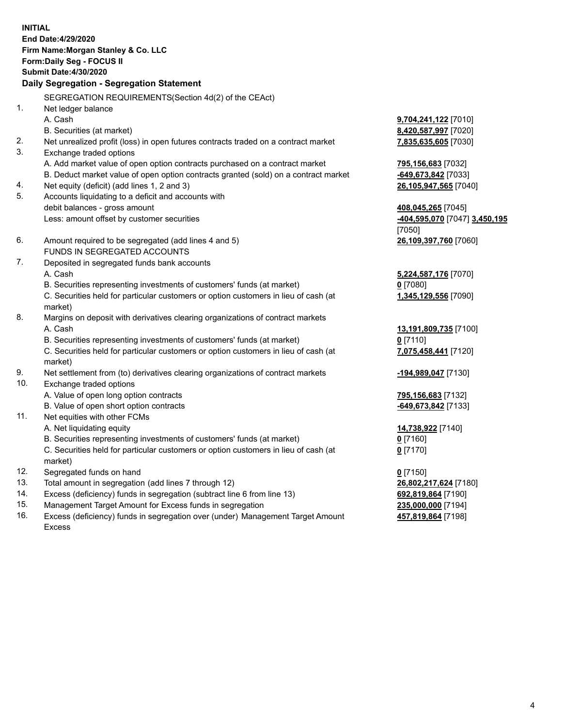**INITIAL End Date:4/29/2020 Firm Name:Morgan Stanley & Co. LLC Form:Daily Seg - FOCUS II Submit Date:4/30/2020 Daily Segregation - Segregation Statement** SEGREGATION REQUIREMENTS(Section 4d(2) of the CEAct) 1. Net ledger balance A. Cash **9,704,241,122** [7010] B. Securities (at market) **8,420,587,997** [7020] 2. Net unrealized profit (loss) in open futures contracts traded on a contract market **7,835,635,605** [7030] 3. Exchange traded options A. Add market value of open option contracts purchased on a contract market **795,156,683** [7032] B. Deduct market value of open option contracts granted (sold) on a contract market **-649,673,842** [7033] 4. Net equity (deficit) (add lines 1, 2 and 3) **26,105,947,565** [7040] 5. Accounts liquidating to a deficit and accounts with debit balances - gross amount **408,045,265** [7045] Less: amount offset by customer securities **-404,595,070** [7047] **3,450,195** [7050] 6. Amount required to be segregated (add lines 4 and 5) **26,109,397,760** [7060] FUNDS IN SEGREGATED ACCOUNTS 7. Deposited in segregated funds bank accounts A. Cash **5,224,587,176** [7070] B. Securities representing investments of customers' funds (at market) **0** [7080] C. Securities held for particular customers or option customers in lieu of cash (at market) **1,345,129,556** [7090] 8. Margins on deposit with derivatives clearing organizations of contract markets A. Cash **13,191,809,735** [7100] B. Securities representing investments of customers' funds (at market) **0** [7110] C. Securities held for particular customers or option customers in lieu of cash (at market) **7,075,458,441** [7120] 9. Net settlement from (to) derivatives clearing organizations of contract markets **-194,989,047** [7130] 10. Exchange traded options A. Value of open long option contracts **795,156,683** [7132] B. Value of open short option contracts **-649,673,842** [7133] 11. Net equities with other FCMs A. Net liquidating equity **14,738,922** [7140] B. Securities representing investments of customers' funds (at market) **0** [7160] C. Securities held for particular customers or option customers in lieu of cash (at market) **0** [7170] 12. Segregated funds on hand **0** [7150] 13. Total amount in segregation (add lines 7 through 12) **26,802,217,624** [7180] 14. Excess (deficiency) funds in segregation (subtract line 6 from line 13) **692,819,864** [7190] 15. Management Target Amount for Excess funds in segregation **235,000,000** [7194]

16. Excess (deficiency) funds in segregation over (under) Management Target Amount Excess

**457,819,864** [7198]